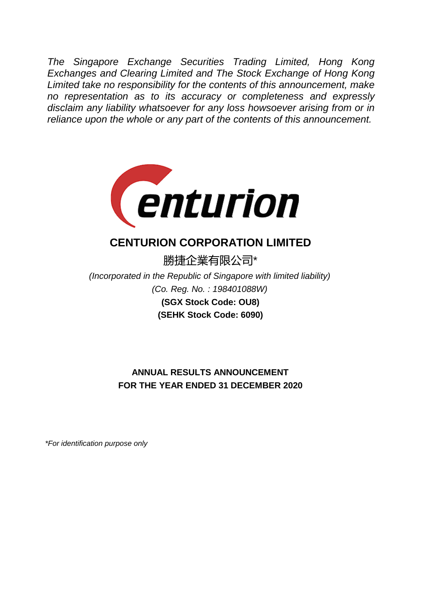*The Singapore Exchange Securities Trading Limited, Hong Kong Exchanges and Clearing Limited and The Stock Exchange of Hong Kong Limited take no responsibility for the contents of this announcement, make no representation as to its accuracy or completeness and expressly disclaim any liability whatsoever for any loss howsoever arising from or in reliance upon the whole or any part of the contents of this announcement.*



# **CENTURION CORPORATION LIMITED**

勝捷企業有限公司\*

*(Co. Reg. No. : 198401088W) (Incorporated in the Republic of Singapore with limited liability)* **(SGX Stock Code: OU8) (SEHK Stock Code: 6090)**

## **ANNUAL RESULTS ANNOUNCEMENT FOR THE YEAR ENDED 31 DECEMBER 2020**

*\*For identification purpose only*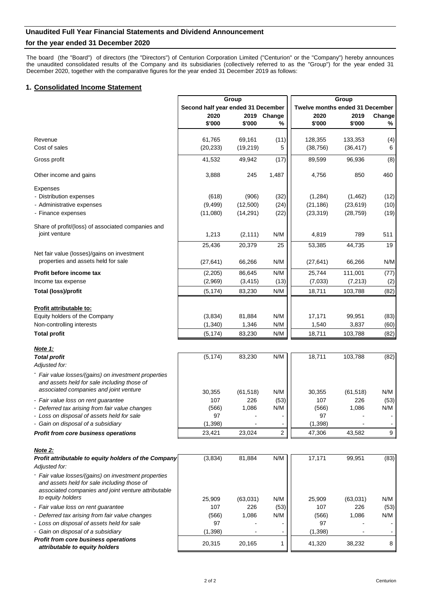## **Unaudited Full Year Financial Statements and Dividend Announcement**

## **for the year ended 31 December 2020**

The board (the "Board") of directors (the "Directors") of Centurion Corporation Limited ("Centurion" or the "Company") hereby announces the unaudited consolidated results of the Company and its subsidiaries (collectively referred to as the "Group") for the year ended 31 December 2020, together with the comparative figures for the year ended 31 December 2019 as follows:

## **1. Consolidated Income Statement**

|                                                                                       |                                    | Group            |                | Group                           |                  |             |  |
|---------------------------------------------------------------------------------------|------------------------------------|------------------|----------------|---------------------------------|------------------|-------------|--|
|                                                                                       | Second half year ended 31 December |                  |                | Twelve months ended 31 December |                  |             |  |
|                                                                                       | 2020                               | 2019             | Change         | 2020                            | 2019             | Change      |  |
|                                                                                       | \$'000                             | \$'000           | %              | \$'000                          | \$'000           | %           |  |
| Revenue                                                                               | 61,765                             | 69,161           | (11)           | 128,355                         | 133,353          | (4)         |  |
| Cost of sales                                                                         | (20, 233)                          | (19, 219)        | 5              | (38, 756)                       | (36, 417)        | 6           |  |
| Gross profit                                                                          | 41,532                             | 49,942           | (17)           | 89,599                          | 96,936           | (8)         |  |
|                                                                                       |                                    |                  |                |                                 |                  |             |  |
| Other income and gains                                                                | 3,888                              | 245              | 1,487          | 4,756                           | 850              | 460         |  |
| <b>Expenses</b>                                                                       |                                    |                  |                |                                 |                  |             |  |
| - Distribution expenses                                                               | (618)                              | (906)            | (32)           | (1,284)                         | (1,462)          | (12)        |  |
| - Administrative expenses                                                             | (9, 499)                           | (12,500)         | (24)           | (21, 186)                       | (23, 619)        | (10)        |  |
| - Finance expenses                                                                    | (11,080)                           | (14, 291)        | (22)           | (23, 319)                       | (28, 759)        | (19)        |  |
| Share of profit/(loss) of associated companies and                                    |                                    |                  |                |                                 |                  |             |  |
| joint venture                                                                         | 1,213                              | (2, 111)         | N/M            | 4,819                           | 789              | 511         |  |
|                                                                                       | 25,436                             | 20,379           | 25             | 53,385                          | 44,735           | 19          |  |
| Net fair value (losses)/gains on investment<br>properties and assets held for sale    | (27, 641)                          | 66,266           | N/M            | (27, 641)                       | 66,266           | N/M         |  |
| Profit before income tax                                                              | (2, 205)                           | 86,645           | N/M            | 25,744                          | 111,001          | (77)        |  |
| Income tax expense                                                                    | (2,969)                            | (3, 415)         | (13)           | (7,033)                         | (7, 213)         | (2)         |  |
| <b>Total (loss)/profit</b>                                                            | (5, 174)                           | 83,230           | N/M            | 18,711                          | 103,788          | (82)        |  |
|                                                                                       |                                    |                  |                |                                 |                  |             |  |
| Profit attributable to:                                                               |                                    |                  |                |                                 |                  |             |  |
| Equity holders of the Company                                                         | (3,834)                            | 81,884           | N/M            | 17,171                          | 99,951           | (83)        |  |
| Non-controlling interests                                                             | (1, 340)                           | 1,346            | N/M            | 1,540                           | 3,837            | (60)        |  |
| <b>Total profit</b>                                                                   | (5, 174)                           | 83,230           | N/M            | 18,711                          | 103,788          | (82)        |  |
|                                                                                       |                                    |                  |                |                                 |                  |             |  |
| Note 1:                                                                               | (5, 174)                           |                  | N/M            | 18,711                          |                  |             |  |
| <b>Total profit</b><br>Adjusted for:                                                  |                                    | 83,230           |                |                                 | 103,788          | (82)        |  |
| Fair value losses/(gains) on investment properties                                    |                                    |                  |                |                                 |                  |             |  |
| and assets held for sale including those of                                           |                                    |                  |                |                                 |                  |             |  |
| associated companies and joint venture                                                | 30,355                             |                  |                |                                 |                  |             |  |
|                                                                                       | 107                                | (61, 518)<br>226 | N/M            | 30,355<br>107                   | (61, 518)<br>226 | N/M         |  |
| - Fair value loss on rent guarantee<br>- Deferred tax arising from fair value changes | (566)                              | 1,086            | (53)<br>N/M    | (566)                           | 1,086            | (53)<br>N/M |  |
| - Loss on disposal of assets held for sale                                            | 97                                 |                  |                | 97                              |                  |             |  |
| - Gain on disposal of a subsidiary                                                    | (1, 398)                           |                  |                | (1, 398)                        |                  |             |  |
| Profit from core business operations                                                  | 23,421                             | 23,024           | $\overline{c}$ | 47,306                          | 43,582           | 9           |  |
|                                                                                       |                                    |                  |                |                                 |                  |             |  |
| Note 2:                                                                               |                                    |                  |                |                                 |                  |             |  |
| Profit attributable to equity holders of the Company                                  | (3,834)                            | 81,884           | N/M            | 17,171                          | 99,951           | (83)        |  |
| Adjusted for:                                                                         |                                    |                  |                |                                 |                  |             |  |
| - Fair value losses/(gains) on investment properties                                  |                                    |                  |                |                                 |                  |             |  |
| and assets held for sale including those of                                           |                                    |                  |                |                                 |                  |             |  |
| associated companies and joint venture attributable                                   |                                    |                  |                |                                 |                  |             |  |
| to equity holders                                                                     | 25,909                             | (63,031)         | N/M            | 25,909                          | (63,031)         | N/M         |  |
| - Fair value loss on rent guarantee                                                   | 107                                | 226              | (53)           | 107                             | 226              | (53)        |  |
| - Deferred tax arising from fair value changes                                        | (566)                              | 1,086            | N/M            | (566)                           | 1,086            | N/M         |  |
| - Loss on disposal of assets held for sale                                            | 97                                 |                  |                | 97                              |                  |             |  |
| - Gain on disposal of a subsidiary<br>Profit from core business operations            | (1, 398)                           |                  |                | (1, 398)                        |                  |             |  |
| attributable to equity holders                                                        | 20,315                             | 20,165           | 1              | 41,320                          | 38,232           | 8           |  |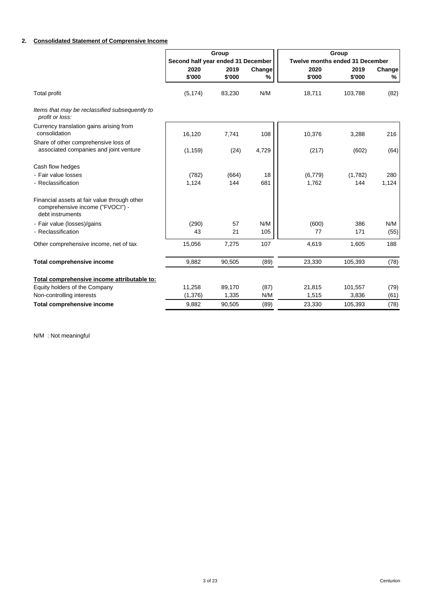## **2. Consolidated Statement of Comprensive Income**

|                                                                                                      |                                    | Group          |             |                                 | Group          |             |  |  |
|------------------------------------------------------------------------------------------------------|------------------------------------|----------------|-------------|---------------------------------|----------------|-------------|--|--|
|                                                                                                      | Second half year ended 31 December |                |             | Twelve months ended 31 December |                |             |  |  |
|                                                                                                      | 2020<br>\$'000                     | 2019<br>\$'000 | Change<br>% | 2020<br>\$'000                  | 2019<br>\$'000 | Change<br>% |  |  |
| <b>Total profit</b>                                                                                  | (5, 174)                           | 83,230         | N/M         | 18,711                          | 103,788        | (82)        |  |  |
| Items that may be reclassified subsequently to<br>profit or loss:                                    |                                    |                |             |                                 |                |             |  |  |
| Currency translation gains arising from<br>consolidation                                             | 16,120                             | 7,741          | 108         | 10,376                          | 3,288          | 216         |  |  |
| Share of other comprehensive loss of<br>associated companies and joint venture                       | (1, 159)                           | (24)           | 4,729       | (217)                           | (602)          | (64)        |  |  |
| Cash flow hedges                                                                                     |                                    |                |             |                                 |                |             |  |  |
| - Fair value losses                                                                                  | (782)                              | (664)          | 18          | (6,779)                         | (1,782)        | 280         |  |  |
| - Reclassification                                                                                   | 1,124                              | 144            | 681         | 1,762                           | 144            | 1,124       |  |  |
| Financial assets at fair value through other<br>comprehensive income ("FVOCI") -<br>debt instruments |                                    |                |             |                                 |                |             |  |  |
| - Fair value (losses)/gains                                                                          | (290)                              | 57             | N/M         | (600)                           | 386            | N/M         |  |  |
| - Reclassification                                                                                   | 43                                 | 21             | 105         | 77                              | 171            | (55)        |  |  |
| Other comprehensive income, net of tax                                                               | 15,056                             | 7,275          | 107         | 4,619                           | 1,605          | 188         |  |  |
| <b>Total comprehensive income</b>                                                                    | 9,882                              | 90,505         | (89)        | 23,330                          | 105,393        | (78)        |  |  |
| Total comprehensive income attributable to:                                                          |                                    |                |             |                                 |                |             |  |  |
| Equity holders of the Company                                                                        | 11,258                             | 89,170         | (87)        | 21,815                          | 101,557        | (79)        |  |  |
| Non-controlling interests                                                                            | (1, 376)                           | 1,335          | N/M         | 1,515                           | 3,836          | (61)        |  |  |
| <b>Total comprehensive income</b>                                                                    | 9,882                              | 90,505         | (89)        | 23,330                          | 105,393        | (78)        |  |  |

N/M : Not meaningful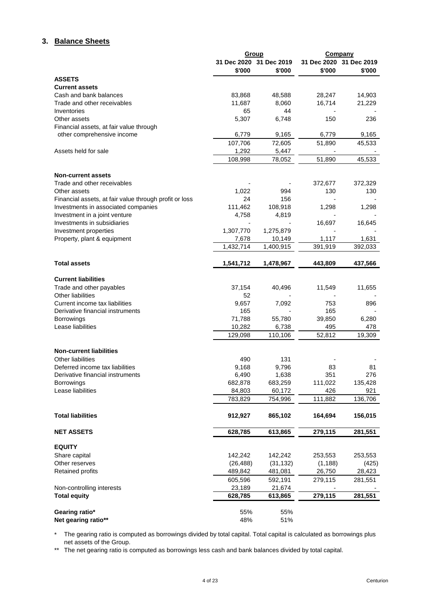## **3. Balance Sheets**

|                                                        |              | Group                   | <b>Company</b>          |         |  |
|--------------------------------------------------------|--------------|-------------------------|-------------------------|---------|--|
|                                                        |              | 31 Dec 2020 31 Dec 2019 | 31 Dec 2020 31 Dec 2019 |         |  |
|                                                        | \$'000       | \$'000                  | \$'000                  | \$'000  |  |
| <b>ASSETS</b>                                          |              |                         |                         |         |  |
| <b>Current assets</b>                                  |              |                         |                         |         |  |
| Cash and bank balances                                 | 83,868       | 48,588                  | 28,247                  | 14,903  |  |
| Trade and other receivables                            | 11,687       | 8,060                   | 16,714                  | 21,229  |  |
| Inventories                                            | 65           | 44                      |                         |         |  |
| Other assets                                           | 5,307        | 6,748                   | 150                     | 236     |  |
| Financial assets, at fair value through                |              |                         |                         |         |  |
| other comprehensive income                             | 6,779        | 9,165                   | 6,779                   | 9,165   |  |
|                                                        | 107,706      | 72,605                  | 51,890                  | 45,533  |  |
| Assets held for sale                                   | 1,292        | 5,447                   |                         |         |  |
|                                                        | 108,998      | 78,052                  | 51,890                  | 45,533  |  |
| <b>Non-current assets</b>                              |              |                         |                         |         |  |
| Trade and other receivables                            |              |                         | 372,677                 | 372,329 |  |
| Other assets                                           | 1,022        | 994                     | 130                     | 130     |  |
| Financial assets, at fair value through profit or loss | 24           | 156                     |                         |         |  |
| Investments in associated companies                    | 111,462      | 108,918                 | 1,298                   | 1,298   |  |
| Investment in a joint venture                          | 4,758        | 4,819                   |                         |         |  |
| Investments in subsidiaries                            |              |                         | 16,697                  | 16,645  |  |
| Investment properties                                  | 1,307,770    | 1,275,879               |                         |         |  |
| Property, plant & equipment                            | 7,678        | 10,149                  | 1,117                   | 1,631   |  |
|                                                        | 1,432,714    | 1,400,915               | 391,919                 | 392,033 |  |
|                                                        |              |                         |                         |         |  |
| <b>Total assets</b>                                    | 1,541,712    | 1,478,967               | 443,809                 | 437,566 |  |
|                                                        |              |                         |                         |         |  |
| <b>Current liabilities</b>                             |              |                         |                         |         |  |
| Trade and other payables<br><b>Other liabilities</b>   | 37,154<br>52 | 40,496                  | 11,549                  | 11,655  |  |
| Current income tax liabilities                         | 9,657        | 7,092                   | 753                     | 896     |  |
| Derivative financial instruments                       | 165          |                         | 165                     |         |  |
| Borrowings                                             | 71,788       | 55,780                  | 39,850                  | 6,280   |  |
| Lease liabilities                                      | 10,282       | 6,738                   | 495                     | 478     |  |
|                                                        | 129,098      | 110,106                 | 52,812                  | 19,309  |  |
|                                                        |              |                         |                         |         |  |
| <b>Non-current liabilities</b>                         |              |                         |                         |         |  |
| Other liabilities                                      | 490          | 131                     |                         |         |  |
| Deferred income tax liabilities                        | 9,168        | 9,796                   | 83                      | 81      |  |
| Derivative financial instruments                       | 6,490        | 1,638                   | 351                     | 276     |  |
| <b>Borrowings</b>                                      | 682,878      | 683,259                 | 111,022                 | 135,428 |  |
| Lease liabilities                                      | 84,803       | 60,172                  | 426                     | 921     |  |
|                                                        | 783,829      | 754,996                 | 111,882                 | 136,706 |  |
|                                                        |              |                         |                         |         |  |
| <b>Total liabilities</b>                               | 912,927      | 865,102                 | 164,694                 | 156,015 |  |
| <b>NET ASSETS</b>                                      | 628,785      | 613,865                 | 279,115                 | 281,551 |  |
|                                                        |              |                         |                         |         |  |
| <b>EQUITY</b>                                          |              |                         |                         |         |  |
| Share capital                                          | 142,242      | 142,242                 | 253,553                 | 253,553 |  |
| Other reserves                                         | (26, 488)    | (31, 132)               | (1, 188)                | (425)   |  |
| <b>Retained profits</b>                                | 489,842      | 481,081                 | 26,750                  | 28,423  |  |
|                                                        | 605,596      | 592,191                 | 279,115                 | 281,551 |  |
| Non-controlling interests                              | 23,189       | 21,674                  |                         |         |  |
| <b>Total equity</b>                                    | 628,785      | 613,865                 | 279,115                 | 281,551 |  |
|                                                        |              |                         |                         |         |  |
| Gearing ratio*                                         | 55%          | 55%                     |                         |         |  |
| Net gearing ratio**                                    | 48%          | 51%                     |                         |         |  |

\* The gearing ratio is computed as borrowings divided by total capital. Total capital is calculated as borrowings plus net assets of the Group.

\*\* The net gearing ratio is computed as borrowings less cash and bank balances divided by total capital.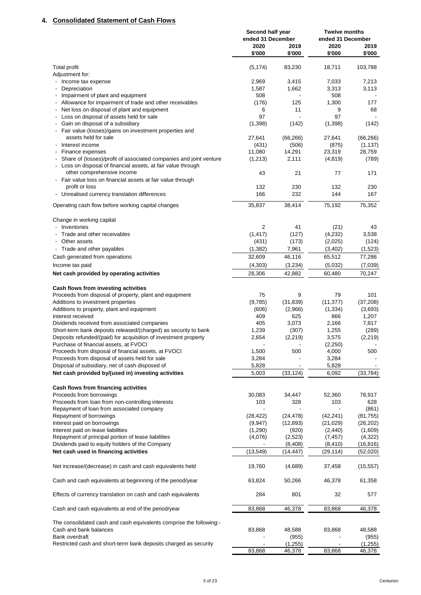## **4. Consolidated Statement of Cash Flows**

|                                                                                                                                   | Second half year<br>ended 31 December |                      | <b>Twelve months</b><br>ended 31 December |                   |
|-----------------------------------------------------------------------------------------------------------------------------------|---------------------------------------|----------------------|-------------------------------------------|-------------------|
|                                                                                                                                   | 2020                                  | 2019                 | 2020                                      | 2019              |
|                                                                                                                                   | \$'000                                | \$'000               | \$'000                                    | \$'000            |
| <b>Total profit</b>                                                                                                               | (5, 174)                              | 83,230               | 18,711                                    | 103,788           |
| Adjustment for:                                                                                                                   |                                       |                      |                                           |                   |
| Income tax expense                                                                                                                | 2,969                                 | 3,415                | 7,033                                     | 7,213             |
| Depreciation<br>$\overline{\phantom{a}}$                                                                                          | 1,587                                 | 1,662                | 3,313                                     | 3,113             |
| Impairment of plant and equipment                                                                                                 | 508                                   |                      | 508                                       |                   |
| Allowance for impairment of trade and other receivables                                                                           | (176)                                 | 125                  | 1,300                                     | 177               |
| Net loss on disposal of plant and equipment<br>$\overline{\phantom{a}}$                                                           | 6                                     | 11                   | 9                                         | 68                |
| Loss on disposal of assets held for sale<br>Gain on disposal of a subsidiary                                                      | 97<br>(1,398)                         | (142)                | 97<br>(1,398)                             | (142)             |
| - Fair value (losses)/gains on investment properties and                                                                          |                                       |                      |                                           |                   |
| assets held for sale                                                                                                              | 27,641                                | (66, 266)            | 27,641                                    | (66, 266)         |
| Interest income                                                                                                                   | (431)                                 | (506)                | (875)                                     | (1, 137)          |
| Finance expenses<br>$\overline{\phantom{a}}$                                                                                      | 11,080                                | 14,291               | 23,319                                    | 28,759            |
| Share of (losses)/profit of associated companies and joint venture<br>Loss on disposal of financial assets, at fair value through | (1,213)                               | 2,111                | (4, 819)                                  | (789)             |
| other comprehensive income                                                                                                        | 43                                    | 21                   | 77                                        | 171               |
| - Fair value loss on financial assets at fair value through                                                                       |                                       |                      |                                           |                   |
| profit or loss                                                                                                                    | 132                                   | 230                  | 132                                       | 230               |
| - Unrealised currency translation differences                                                                                     | 166                                   | 232                  | 144                                       | 167               |
| Operating cash flow before working capital changes                                                                                | 35,837                                | 38,414               | 75,192                                    | 75,352            |
| Change in working capital                                                                                                         |                                       |                      |                                           |                   |
| - Inventories                                                                                                                     | 2                                     | 41                   | (21)                                      | 43                |
| Trade and other receivables                                                                                                       | (1, 417)                              | (127)                | (4,232)                                   | 3,538             |
| - Other assets                                                                                                                    | (431)                                 | (173)                | (2,025)                                   | (124)             |
| - Trade and other payables                                                                                                        | (1, 382)                              | 7,961                | (3,402)                                   | (1,523)           |
| Cash generated from operations                                                                                                    | 32,609                                | 46,116               | 65,512                                    | 77,286            |
| Income tax paid                                                                                                                   | (4,303)                               | (3,234)              | (5,032)                                   | (7,039)           |
| Net cash provided by operating activities                                                                                         | 28,306                                | 42,882               | 60,480                                    | 70,247            |
|                                                                                                                                   |                                       |                      |                                           |                   |
| Cash flows from investing activities                                                                                              |                                       |                      |                                           |                   |
| Proceeds from disposal of property, plant and equipment                                                                           | 75                                    | 9                    | 79                                        | 101               |
| Additions to investment properties                                                                                                | (9,785)                               | (31, 839)<br>(2,966) | (11, 377)                                 | (37, 208)         |
| Additions to property, plant and equipment<br>Interest received                                                                   | (606)<br>409                          | 625                  | (1, 334)<br>866                           | (3,693)<br>1,207  |
| Dividends received from associated companies                                                                                      | 405                                   | 3,073                | 2,166                                     | 7,817             |
| Short-term bank deposits released/(charged) as security to bank                                                                   | 1,239                                 | (307)                | 1,255                                     | (289)             |
| Deposits refunded/(paid) for acquisition of investment property                                                                   | 2,654                                 | (2, 219)             | 3,575                                     | (2, 219)          |
| Purchase of financial assets, at FVOCI                                                                                            |                                       |                      | (2, 250)                                  |                   |
| Proceeds from disposal of financial assets, at FVOCI                                                                              | 1,500                                 | 500                  | 4,000                                     | 500               |
| Proceeds from disposal of assets held for sale                                                                                    | 3,284                                 |                      | 3,284                                     |                   |
| Disposal of subsidiary, net of cash disposed of                                                                                   | 5,828                                 |                      | 5,828                                     |                   |
| Net cash provided by/(used in) investing activities                                                                               | 5,003                                 | (33, 124)            | 6,092                                     | (33, 784)         |
|                                                                                                                                   |                                       |                      |                                           |                   |
| Cash flows from financing activities                                                                                              |                                       |                      |                                           | 78,917            |
| Proceeds from borrowings<br>Proceeds from loan from non-controlling interests                                                     | 30,083<br>103                         | 34,447               | 52,360<br>103                             | 628               |
| Repayment of loan from associated company                                                                                         |                                       | 328                  |                                           | (861)             |
| Repayment of borrowings                                                                                                           | (28, 422)                             | (24, 478)            | (42, 241)                                 | (81, 755)         |
| Interest paid on borrowings                                                                                                       | (9,947)                               | (12, 893)            | (21, 029)                                 | (26, 202)         |
| Interest paid on lease liabilities                                                                                                | (1,290)                               | (920)                | (2, 440)                                  | (1,609)           |
| Repayment of principal portion of lease liabilities                                                                               | (4,076)                               | (2,523)              | (7, 457)                                  | (4,322)           |
| Dividends paid to equity holders of the Company                                                                                   |                                       | (8,408)              | (8, 410)                                  | (16, 816)         |
| Net cash used in financing activities                                                                                             | (13, 549)                             | (14,447)             | (29,114)                                  | (52,020)          |
| Net increase/(decrease) in cash and cash equivalents held                                                                         | 19,760                                | (4,689)              | 37,458                                    | (15, 557)         |
| Cash and cash equivalents at beginnning of the period/year                                                                        | 63,824                                | 50,266               | 46,378                                    | 61,358            |
| Effects of currency translation on cash and cash equivalents                                                                      | 284                                   | 801                  | 32                                        | 577               |
| Cash and cash equivalents at end of the period/year                                                                               | 83,868                                | 46,378               | 83,868                                    | 46,378            |
|                                                                                                                                   |                                       |                      |                                           |                   |
| The consolidated cash and cash equivalents comprise the following:-                                                               |                                       |                      |                                           |                   |
| Cash and bank balances                                                                                                            | 83,868                                | 48,588               | 83,868                                    | 48,588            |
| Bank overdraft                                                                                                                    |                                       | (955)                |                                           | (955)             |
| Restricted cash and short-term bank deposits charged as security                                                                  | 83,868                                | (1, 255)<br>46,378   | 83,868                                    | (1,255)<br>46,378 |
|                                                                                                                                   |                                       |                      |                                           |                   |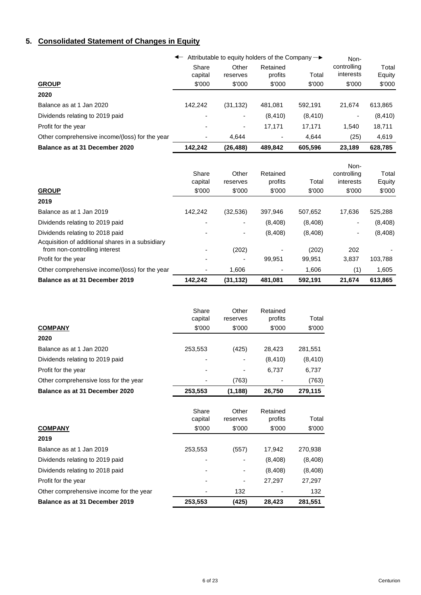## **5. Consolidated Statement of Changes in Equity**

|                                                | Attributable to equity holders of the Company $\rightarrow$ |                   |                     |          | Non-                     |                 |  |
|------------------------------------------------|-------------------------------------------------------------|-------------------|---------------------|----------|--------------------------|-----------------|--|
|                                                | Share<br>capital                                            | Other<br>reserves | Retained<br>profits | Total    | controlling<br>interests | Total<br>Equity |  |
| <b>GROUP</b>                                   | \$'000                                                      | \$'000            | \$'000              | \$'000   | \$'000                   | \$'000          |  |
| 2020                                           |                                                             |                   |                     |          |                          |                 |  |
| Balance as at 1 Jan 2020                       | 142.242                                                     | (31, 132)         | 481.081             | 592,191  | 21.674                   | 613,865         |  |
| Dividends relating to 2019 paid                |                                                             |                   | (8, 410)            | (8, 410) |                          | (8, 410)        |  |
| Profit for the year                            |                                                             | ٠                 | 17.171              | 17.171   | 1.540                    | 18,711          |  |
| Other comprehensive income/(loss) for the year | $\overline{\phantom{a}}$                                    | 4.644             |                     | 4.644    | (25)                     | 4,619           |  |
| Balance as at 31 December 2020                 | 142.242                                                     | (26, 488)         | 489,842             | 605,596  | 23.189                   | 628,785         |  |

|                                                  | Share<br>capital<br>\$'000 | Other<br>reserves<br>\$'000 | Retained<br>profits<br>\$'000 | Total<br>\$'000 | Non-<br>controlling<br>interests<br>\$'000 | Total<br>Equity<br>\$'000 |
|--------------------------------------------------|----------------------------|-----------------------------|-------------------------------|-----------------|--------------------------------------------|---------------------------|
| <b>GROUP</b>                                     |                            |                             |                               |                 |                                            |                           |
| 2019                                             |                            |                             |                               |                 |                                            |                           |
| Balance as at 1 Jan 2019                         | 142.242                    | (32,536)                    | 397.946                       | 507,652         | 17.636                                     | 525,288                   |
| Dividends relating to 2019 paid                  |                            |                             | (8,408)                       | (8,408)         |                                            | (8,408)                   |
| Dividends relating to 2018 paid                  |                            | ۰                           | (8,408)                       | (8,408)         | ۰                                          | (8,408)                   |
| Acquisition of additional shares in a subsidiary |                            |                             |                               |                 |                                            |                           |
| from non-controlling interest                    |                            | (202)                       |                               | (202)           | 202                                        |                           |
| Profit for the year                              |                            |                             | 99.951                        | 99.951          | 3,837                                      | 103,788                   |
| Other comprehensive income/(loss) for the year   |                            | 1,606                       |                               | 1.606           | (1)                                        | 1,605                     |
| Balance as at 31 December 2019                   | 142,242                    | (31, 132)                   | 481,081                       | 592,191         | 21,674                                     | 613,865                   |

|                                       | Share<br>capital | Other<br>reserves | Retained<br>profits | Total    |
|---------------------------------------|------------------|-------------------|---------------------|----------|
| <b>COMPANY</b>                        | \$'000           | \$'000            | \$'000              | \$'000   |
| 2020                                  |                  |                   |                     |          |
| Balance as at 1 Jan 2020              | 253,553          | (425)             | 28,423              | 281,551  |
| Dividends relating to 2019 paid       |                  |                   | (8, 410)            | (8, 410) |
| Profit for the year                   |                  |                   | 6.737               | 6,737    |
| Other comprehensive loss for the year |                  | (763)             |                     | (763)    |
| Balance as at 31 December 2020        | 253,553          | (1, 188)          | 26,750              | 279,115  |
|                                       | Share            | Other             | Retained            |          |

|                                         | <b>UNICII G</b><br>capital | UUGI<br>reserves | 115611159<br>profits | Total   |
|-----------------------------------------|----------------------------|------------------|----------------------|---------|
| <b>COMPANY</b>                          | \$'000                     | \$'000           | \$'000               | \$'000  |
| 2019                                    |                            |                  |                      |         |
| Balance as at 1 Jan 2019                | 253,553                    | (557)            | 17,942               | 270,938 |
| Dividends relating to 2019 paid         |                            |                  | (8,408)              | (8,408) |
| Dividends relating to 2018 paid         |                            |                  | (8,408)              | (8,408) |
| Profit for the year                     | -                          | -                | 27.297               | 27,297  |
| Other comprehensive income for the year |                            | 132              |                      | 132     |
| Balance as at 31 December 2019          | 253,553                    | (425)            | 28,423               | 281,551 |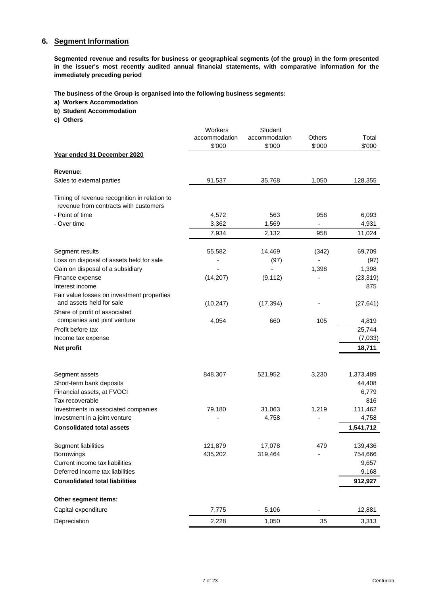## **6. Segment Information**

**Segmented revenue and results for business or geographical segments (of the group) in the form presented in the issuer's most recently audited annual financial statements, with comparative information for the immediately preceding period**

**The business of the Group is organised into the following business segments:** 

- **a) Workers Accommodation**
- **b) Student Accommodation**
- **c) Others**

|                                                                                       | Workers       | Student       |               |           |
|---------------------------------------------------------------------------------------|---------------|---------------|---------------|-----------|
|                                                                                       | accommodation | accommodation | <b>Others</b> | Total     |
|                                                                                       | \$'000        | \$'000        | \$'000        | \$'000    |
| Year ended 31 December 2020                                                           |               |               |               |           |
| Revenue:                                                                              |               |               |               |           |
| Sales to external parties                                                             | 91,537        | 35,768        | 1,050         | 128,355   |
| Timing of revenue recognition in relation to<br>revenue from contracts with customers |               |               |               |           |
| - Point of time                                                                       | 4,572         | 563           | 958           | 6,093     |
| - Over time                                                                           | 3,362         | 1,569         |               | 4,931     |
|                                                                                       | 7,934         | 2,132         | 958           | 11,024    |
| Segment results                                                                       | 55,582        | 14,469        | (342)         | 69,709    |
| Loss on disposal of assets held for sale                                              |               | (97)          |               | (97)      |
| Gain on disposal of a subsidiary                                                      |               |               | 1,398         | 1,398     |
| Finance expense                                                                       | (14, 207)     | (9, 112)      |               | (23, 319) |
| Interest income                                                                       |               |               |               | 875       |
| Fair value losses on investment properties                                            |               |               |               |           |
| and assets held for sale                                                              | (10, 247)     | (17, 394)     |               | (27, 641) |
| Share of profit of associated                                                         |               |               |               |           |
| companies and joint venture                                                           | 4,054         | 660           | 105           | 4,819     |
| Profit before tax                                                                     |               |               |               | 25,744    |
| Income tax expense                                                                    |               |               |               | (7,033)   |
| <b>Net profit</b>                                                                     |               |               |               | 18,711    |
| Segment assets                                                                        | 848,307       | 521,952       | 3,230         | 1,373,489 |
| Short-term bank deposits                                                              |               |               |               | 44,408    |
| Financial assets, at FVOCI                                                            |               |               |               | 6,779     |
| Tax recoverable                                                                       |               |               |               | 816       |
| Investments in associated companies                                                   | 79,180        | 31,063        | 1,219         | 111,462   |
| Investment in a joint venture                                                         |               | 4,758         |               | 4,758     |
| <b>Consolidated total assets</b>                                                      |               |               |               | 1,541,712 |
| Segment liabilities                                                                   | 121,879       | 17,078        | 479           | 139,436   |
| Borrowings                                                                            | 435,202       | 319,464       | $\frac{1}{2}$ | 754,666   |
| Current income tax liabilities                                                        |               |               |               | 9,657     |
| Deferred income tax liabilities                                                       |               |               |               | 9,168     |
| <b>Consolidated total liabilities</b>                                                 |               |               |               | 912,927   |
| Other segment items:                                                                  |               |               |               |           |
| Capital expenditure                                                                   | 7,775         | 5,106         |               | 12,881    |
| Depreciation                                                                          | 2,228         | 1,050         | 35            | 3,313     |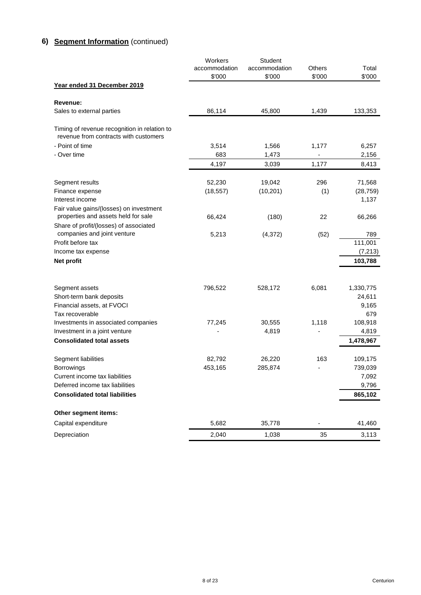## **6) Segment Information** (continued)

|                                                                                                                                                        | Workers<br>accommodation<br>\$'000 | <b>Student</b><br>accommodation<br>\$'000 | Others<br>\$'000 | Total<br>\$'000                                 |
|--------------------------------------------------------------------------------------------------------------------------------------------------------|------------------------------------|-------------------------------------------|------------------|-------------------------------------------------|
| Year ended 31 December 2019                                                                                                                            |                                    |                                           |                  |                                                 |
| Revenue:                                                                                                                                               |                                    |                                           |                  |                                                 |
| Sales to external parties                                                                                                                              | 86,114                             | 45,800                                    | 1,439            | 133,353                                         |
| Timing of revenue recognition in relation to<br>revenue from contracts with customers                                                                  |                                    |                                           |                  |                                                 |
| - Point of time<br>- Over time                                                                                                                         | 3,514<br>683                       | 1,566<br>1,473                            | 1,177            | 6,257<br>2,156                                  |
|                                                                                                                                                        | 4,197                              | 3,039                                     | 1,177            | 8,413                                           |
| Segment results                                                                                                                                        | 52,230                             | 19,042                                    | 296              | 71,568                                          |
| Finance expense<br>Interest income                                                                                                                     | (18, 557)                          | (10, 201)                                 | (1)              | (28, 759)<br>1,137                              |
| Fair value gains/(losses) on investment<br>properties and assets held for sale<br>Share of profit/(losses) of associated                               | 66,424                             | (180)                                     | 22               | 66,266                                          |
| companies and joint venture<br>Profit before tax                                                                                                       | 5,213                              | (4, 372)                                  | (52)             | 789<br>111,001                                  |
| Income tax expense                                                                                                                                     |                                    |                                           |                  | (7, 213)                                        |
| <b>Net profit</b>                                                                                                                                      |                                    |                                           |                  | 103,788                                         |
|                                                                                                                                                        |                                    |                                           |                  |                                                 |
| Segment assets<br>Short-term bank deposits                                                                                                             | 796,522                            | 528,172                                   | 6,081            | 1,330,775<br>24,611<br>9,165                    |
| Financial assets, at FVOCI<br>Tax recoverable                                                                                                          |                                    |                                           |                  | 679                                             |
| Investments in associated companies<br>Investment in a joint venture                                                                                   | 77,245                             | 30,555<br>4,819                           | 1,118            | 108,918<br>4,819                                |
| <b>Consolidated total assets</b>                                                                                                                       |                                    |                                           |                  | 1,478,967                                       |
| Segment liabilities<br><b>Borrowings</b><br>Current income tax liabilities<br>Deferred income tax liabilities<br><b>Consolidated total liabilities</b> | 82,792<br>453,165                  | 26,220<br>285,874                         | 163              | 109,175<br>739,039<br>7,092<br>9,796<br>865,102 |
| Other segment items:                                                                                                                                   |                                    |                                           |                  |                                                 |
| Capital expenditure                                                                                                                                    | 5,682                              | 35,778                                    |                  | 41,460                                          |
| Depreciation                                                                                                                                           | 2,040                              | 1,038                                     | 35               | 3,113                                           |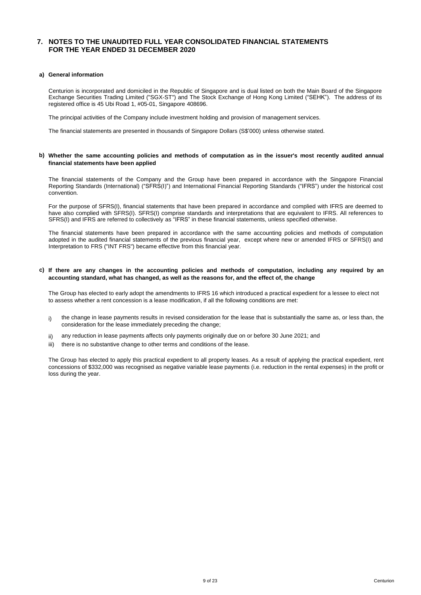## **7. NOTES TO THE UNAUDITED FULL YEAR CONSOLIDATED FINANCIAL STATEMENTS FOR THE YEAR ENDED 31 DECEMBER 2020**

#### **a) General information**

Centurion is incorporated and domiciled in the Republic of Singapore and is dual listed on both the Main Board of the Singapore Exchange Securities Trading Limited ("SGX-ST") and The Stock Exchange of Hong Kong Limited ("SEHK"). The address of its registered office is 45 Ubi Road 1, #05-01, Singapore 408696.

The principal activities of the Company include investment holding and provision of management services.

The financial statements are presented in thousands of Singapore Dollars (S\$'000) unless otherwise stated.

#### b) Whether the same accounting policies and methods of computation as in the issuer's most recently audited annual **financial statements have been applied**

The financial statements of the Company and the Group have been prepared in accordance with the Singapore Financial Reporting Standards (International) ("SFRS(I)") and International Financial Reporting Standards ("IFRS") under the historical cost convention.

For the purpose of SFRS(I), financial statements that have been prepared in accordance and complied with IFRS are deemed to have also complied with SFRS(I). SFRS(I) comprise standards and interpretations that are equivalent to IFRS. All references to SFRS(I) and IFRS are referred to collectively as "IFRS" in these financial statements, unless specified otherwise.

The financial statements have been prepared in accordance with the same accounting policies and methods of computation adopted in the audited financial statements of the previous financial year, except where new or amended IFRS or SFRS(I) and Interpretation to FRS ("INT FRS") became effective from this financial year.

#### c) If there are any changes in the accounting policies and methods of computation, including any required by an **accounting standard, what has changed, as well as the reasons for, and the effect of, the change**

The Group has elected to early adopt the amendments to IFRS 16 which introduced a practical expedient for a lessee to elect not to assess whether a rent concession is a lease modification, if all the following conditions are met:

- i) the change in lease payments results in revised consideration for the lease that is substantially the same as, or less than, the consideration for the lease immediately preceding the change;
- ii) any reduction in lease payments affects only payments originally due on or before 30 June 2021; and
- iii) there is no substantive change to other terms and conditions of the lease.

The Group has elected to apply this practical expedient to all property leases. As a result of applying the practical expedient, rent concessions of \$332,000 was recognised as negative variable lease payments (i.e. reduction in the rental expenses) in the profit or loss during the year.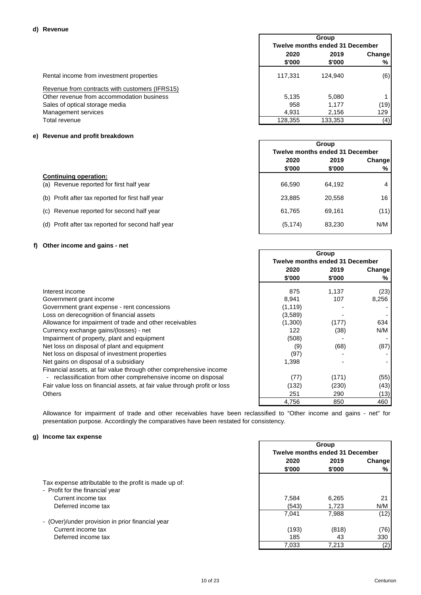|                                                |         | Group                                  |               |  |  |
|------------------------------------------------|---------|----------------------------------------|---------------|--|--|
|                                                |         | <b>Twelve months ended 31 December</b> |               |  |  |
|                                                | 2020    | 2019                                   | <b>Change</b> |  |  |
|                                                | \$'000  | \$'000                                 | %             |  |  |
| Rental income from investment properties       | 117.331 | 124.940                                | (6)           |  |  |
| Revenue from contracts with customers (IFRS15) |         |                                        |               |  |  |
| Other revenue from accommodation business      | 5.135   | 5,080                                  |               |  |  |
| Sales of optical storage media                 | 958     | 1.177                                  | (19)          |  |  |
| Management services                            | 4.931   | 2,156                                  | 129           |  |  |
| Total revenue                                  | 128,355 | 133,353                                | (4)           |  |  |

## **e) Revenue and profit breakdown**

|                                                       |          | Group<br><b>Twelve months ended 31 December</b> |        |  |  |
|-------------------------------------------------------|----------|-------------------------------------------------|--------|--|--|
|                                                       |          |                                                 |        |  |  |
|                                                       | 2020     | 2019                                            | Change |  |  |
|                                                       | \$'000   | \$'000                                          | %      |  |  |
| <b>Continuing operation:</b>                          |          |                                                 |        |  |  |
| (a) Revenue reported for first half year              | 66.590   | 64.192                                          | 4      |  |  |
| (b) Profit after tax reported for first half year     | 23,885   | 20,558                                          | 16     |  |  |
| (c) Revenue reported for second half year             | 61.765   | 69.161                                          | (11)   |  |  |
| Profit after tax reported for second half year<br>(d) | (5, 174) | 83.230                                          | N/M    |  |  |

## **f) Other income and gains - net**

|                                                                           | Group                                  |        |        |
|---------------------------------------------------------------------------|----------------------------------------|--------|--------|
|                                                                           | <b>Twelve months ended 31 December</b> |        |        |
|                                                                           | 2020                                   | 2019   | Change |
|                                                                           | \$'000                                 | \$'000 | ℅      |
| Interest income                                                           | 875                                    | 1,137  | (23)   |
| Government grant income                                                   | 8,941                                  | 107    | 8,256  |
| Government grant expense - rent concessions                               | (1, 119)                               |        |        |
| Loss on derecognition of financial assets                                 | (3,589)                                |        |        |
| Allowance for impairment of trade and other receivables                   | (1,300)                                | (177)  | 634    |
| Currency exchange gains/(losses) - net                                    | 122                                    | (38)   | N/M    |
| Impairment of property, plant and equipment                               | (508)                                  |        |        |
| Net loss on disposal of plant and equipment                               | (9)                                    | (68)   | (87)   |
| Net loss on disposal of investment properties                             | (97)                                   |        |        |
| Net gains on disposal of a subsidiary                                     | 1,398                                  |        |        |
| Financial assets, at fair value through other comprehensive income        |                                        |        |        |
| - reclassification from other comprehensive income on disposal            | (77)                                   | (171)  | (55)   |
| Fair value loss on financial assets, at fair value through profit or loss | (132)                                  | (230)  | (43)   |
| <b>Others</b>                                                             | 251                                    | 290    | (13)   |
|                                                                           | 4,756                                  | 850    | 460    |

Allowance for impairment of trade and other receivables have been reclassified to "Other income and gains - net" for presentation purpose. Accordingly the comparatives have been restated for consistency.

## **g) Income tax expense**

|                                                                                          |        | Group<br><b>Twelve months ended 31 December</b> |      |        |
|------------------------------------------------------------------------------------------|--------|-------------------------------------------------|------|--------|
|                                                                                          |        |                                                 |      |        |
|                                                                                          | 2020   | 2019                                            |      | Change |
|                                                                                          | \$'000 | \$'000                                          | %    |        |
| Tax expense attributable to the profit is made up of:<br>- Profit for the financial year |        |                                                 |      |        |
| Current income tax                                                                       | 7.584  | 6,265                                           | 21   |        |
| Deferred income tax                                                                      | (543)  | 1.723                                           | N/M  |        |
|                                                                                          | 7,041  | 7,988                                           | (12) |        |
| - (Over)/under provision in prior financial year                                         |        |                                                 |      |        |
| Current income tax                                                                       | (193)  | (818)                                           | (76) |        |
| Deferred income tax                                                                      | 185    | 43                                              | 330  |        |
|                                                                                          | 7,033  | 7,213                                           | (2)  |        |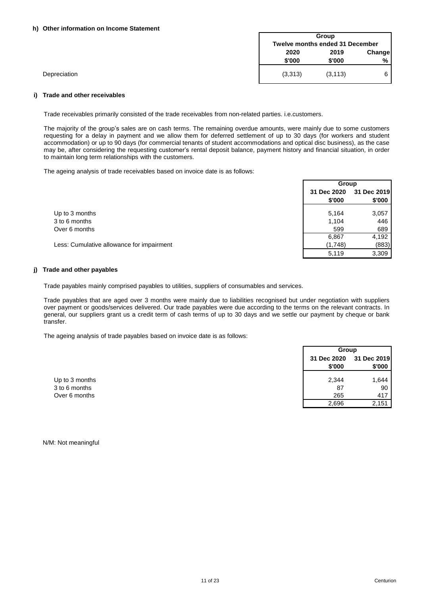#### **h) Other information on Income Statement**

|              | Group<br><b>Twelve months ended 31 December</b> |          |   |
|--------------|-------------------------------------------------|----------|---|
|              | 2019<br>2020<br>Change<br>\$'000<br>\$'000      |          |   |
| Depreciation | (3,313)                                         | (3, 113) | 6 |

#### **i) Trade and other receivables**

Trade receivables primarily consisted of the trade receivables from non-related parties. i.e.customers.

The majority of the group's sales are on cash terms. The remaining overdue amounts, were mainly due to some customers requesting for a delay in payment and we allow them for deferred settlement of up to 30 days (for workers and student accommodation) or up to 90 days (for commercial tenants of student accommodations and optical disc business), as the case may be, after considering the requesting customer's rental deposit balance, payment history and financial situation, in order to maintain long term relationships with the customers.

The ageing analysis of trade receivables based on invoice date is as follows:

|                                           | Group       |             |
|-------------------------------------------|-------------|-------------|
|                                           | 31 Dec 2020 | 31 Dec 2019 |
|                                           | \$'000      | \$'000      |
| Up to 3 months                            | 5,164       | 3,057       |
| 3 to 6 months                             | 1,104       | 446         |
| Over 6 months                             | 599         | 689         |
|                                           | 6,867       | 4,192       |
| Less: Cumulative allowance for impairment | (1,748)     | (883)       |
|                                           | 5,119       | 3,309       |

## **j) Trade and other payables**

Trade payables mainly comprised payables to utilities, suppliers of consumables and services.

Trade payables that are aged over 3 months were mainly due to liabilities recognised but under negotiation with suppliers over payment or goods/services delivered. Our trade payables were due according to the terms on the relevant contracts. In general, our suppliers grant us a credit term of cash terms of up to 30 days and we settle our payment by cheque or bank transfer.

The ageing analysis of trade payables based on invoice date is as follows:

|                | Group                 |                       |
|----------------|-----------------------|-----------------------|
|                | 31 Dec 2020<br>\$'000 | 31 Dec 2019<br>\$'000 |
| Up to 3 months | 2,344                 | 1,644                 |
| 3 to 6 months  | 87                    | 90                    |
| Over 6 months  | 265                   | 417                   |
|                | 2,696                 | 2,151                 |

N/M: Not meaningful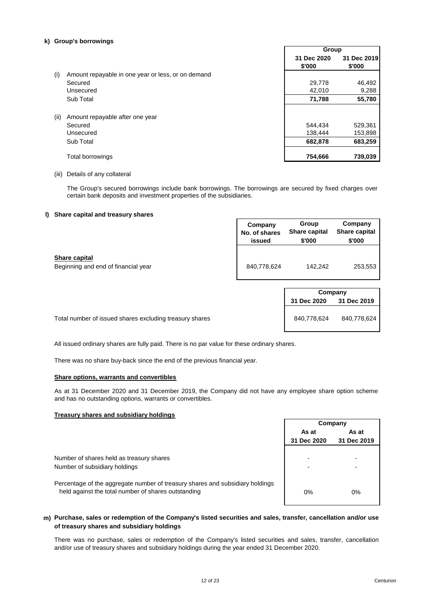## **k) Group's borrowings**

|      |                                                    | oroup                 |                       |
|------|----------------------------------------------------|-----------------------|-----------------------|
|      |                                                    | 31 Dec 2020<br>\$'000 | 31 Dec 2019<br>\$'000 |
| (i)  | Amount repayable in one year or less, or on demand |                       |                       |
|      | Secured                                            | 29,778                | 46,492                |
|      | Unsecured                                          | 42,010                | 9,288                 |
|      | Sub Total                                          | 71,788                | 55,780                |
| (ii) | Amount repayable after one year                    |                       |                       |
|      | Secured                                            | 544.434               | 529,361               |
|      | Unsecured                                          | 138,444               | 153,898               |
|      | Sub Total                                          | 682,878               | 683,259               |
|      | <b>Total borrowings</b>                            | 754,666               | 739,039               |

## (iii) Details of any collateral

The Group's secured borrowings include bank borrowings. The borrowings are secured by fixed charges over certain bank deposits and investment properties of the subsidiaries.

## **l) Share capital and treasury shares**

|                                                      | Company       | Group         | Company       |
|------------------------------------------------------|---------------|---------------|---------------|
|                                                      | No. of shares | Share capital | Share capital |
|                                                      | issued        | \$'000        | \$'000        |
| Share capital<br>Beginning and end of financial year | 840,778,624   | 142.242       | 253,553       |

| Company     |             |  |  |
|-------------|-------------|--|--|
| 31 Dec 2020 | 31 Dec 2019 |  |  |
| 840,778,624 | 840,778,624 |  |  |

**Group**

Total number of issued shares excluding treasury shares

All issued ordinary shares are fully paid. There is no par value for these ordinary shares.

There was no share buy-back since the end of the previous financial year.

#### **Share options, warrants and convertibles**

As at 31 December 2020 and 31 December 2019, the Company did not have any employee share option scheme and has no outstanding options, warrants or convertibles.

## **Treasury shares and subsidiary holdings**

Number of shares held as treasury shares Number of subsidiary holdings

**As at As at 31 Dec 2020 31 Dec 2019** 0% 0% **Company**

Percentage of the aggregate number of treasury shares and subsidiary holdings held against the total number of shares outstanding

## **m) Purchase, sales or redemption of the Company's listed securities and sales, transfer, cancellation and/or use of treasury shares and subsidiary holdings**

There was no purchase, sales or redemption of the Company's listed securities and sales, transfer, cancellation and/or use of treasury shares and subsidiary holdings during the year ended 31 December 2020.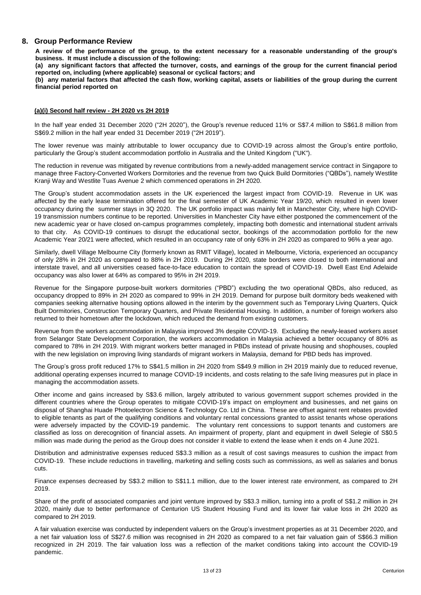## **8. Group Performance Review**

A review of the performance of the group, to the extent necessary for a reasonable understanding of the group's **business. It must include a discussion of the following:**

(a) any significant factors that affected the turnover, costs, and earnings of the group for the current financial period **reported on, including (where applicable) seasonal or cyclical factors; and**

(b) any material factors that affected the cash flow, working capital, assets or liabilities of the group during the current **financial period reported on**

## **(a)(i) Second half review - 2H 2020 vs 2H 2019**

In the half year ended 31 December 2020 ("2H 2020"), the Group's revenue reduced 11% or S\$7.4 million to S\$61.8 million from S\$69.2 million in the half year ended 31 December 2019 ("2H 2019").

The lower revenue was mainly attributable to lower occupancy due to COVID-19 across almost the Group's entire portfolio, particularly the Group's student accommodation portfolio in Australia and the United Kingdom ("UK").

The reduction in revenue was mitigated by revenue contributions from a newly-added management service contract in Singapore to manage three Factory-Converted Workers Dormitories and the revenue from two Quick Build Dormitories ("QBDs"), namely Westlite Kranji Way and Westlite Tuas Avenue 2 which commenced operations in 2H 2020.

The Group's student accommodation assets in the UK experienced the largest impact from COVID-19. Revenue in UK was affected by the early lease termination offered for the final semester of UK Academic Year 19/20, which resulted in even lower occupancy during the summer stays in 3Q 2020. The UK portfolio impact was mainly felt in Manchester City, where high COVID-19 transmission numbers continue to be reported. Universities in Manchester City have either postponed the commencement of the new academic year or have closed on-campus programmes completely, impacting both domestic and international student arrivals to that city. As COVID-19 continues to disrupt the educational sector, bookings of the accommodation portfolio for the new Academic Year 20/21 were affected, which resulted in an occupancy rate of only 63% in 2H 2020 as compared to 96% a year ago.

Similarly, dwell Village Melbourne City (formerly known as RMIT Village), located in Melbourne, Victoria, experienced an occupancy of only 28% in 2H 2020 as compared to 88% in 2H 2019. During 2H 2020, state borders were closed to both international and interstate travel, and all universities ceased face-to-face education to contain the spread of COVID-19. Dwell East End Adelaide occupancy was also lower at 64% as compared to 95% in 2H 2019.

Revenue for the Singapore purpose-built workers dormitories ("PBD") excluding the two operational QBDs, also reduced, as occupancy dropped to 89% in 2H 2020 as compared to 99% in 2H 2019. Demand for purpose built dormitory beds weakened with companies seeking alternative housing options allowed in the interim by the government such as Temporary Living Quarters, Quick Built Dormitories, Construction Temporary Quarters, and Private Residential Housing. In addition, a number of foreign workers also returned to their hometown after the lockdown, which reduced the demand from existing customers.

Revenue from the workers accommodation in Malaysia improved 3% despite COVID-19. Excluding the newly-leased workers asset from Selangor State Development Corporation, the workers accommodation in Malaysia achieved a better occupancy of 80% as compared to 78% in 2H 2019. With migrant workers better managed in PBDs instead of private housing and shophouses, coupled with the new legislation on improving living standards of migrant workers in Malaysia, demand for PBD beds has improved.

The Group's gross profit reduced 17% to S\$41.5 million in 2H 2020 from S\$49.9 million in 2H 2019 mainly due to reduced revenue, additional operating expenses incurred to manage COVID-19 incidents, and costs relating to the safe living measures put in place in managing the accommodation assets.

Other income and gains increased by S\$3.6 million, largely attributed to various government support schemes provided in the different countries where the Group operates to mitigate COVID-19's impact on employment and businesses, and net gains on disposal of Shanghai Huade Photoelectron Science & Technology Co. Ltd in China. These are offset against rent rebates provided to eligible tenants as part of the qualifying conditions and voluntary rental concessions granted to assist tenants whose operations were adversely impacted by the COVID-19 pandemic. The voluntary rent concessions to support tenants and customers are classified as loss on derecognition of financial assets. An impairment of property, plant and equipment in dwell Selegie of S\$0.5 million was made during the period as the Group does not consider it viable to extend the lease when it ends on 4 June 2021.

Distribution and administrative expenses reduced S\$3.3 million as a result of cost savings measures to cushion the impact from COVID-19. These include reductions in travelling, marketing and selling costs such as commissions, as well as salaries and bonus cuts.

Finance expenses decreased by S\$3.2 million to S\$11.1 million, due to the lower interest rate environment, as compared to 2H 2019.

Share of the profit of associated companies and joint venture improved by S\$3.3 million, turning into a profit of S\$1.2 million in 2H 2020, mainly due to better performance of Centurion US Student Housing Fund and its lower fair value loss in 2H 2020 as compared to 2H 2019.

A fair valuation exercise was conducted by independent valuers on the Group's investment properties as at 31 December 2020, and a net fair valuation loss of S\$27.6 million was recognised in 2H 2020 as compared to a net fair valuation gain of S\$66.3 million recognized in 2H 2019. The fair valuation loss was a reflection of the market conditions taking into account the COVID-19 pandemic.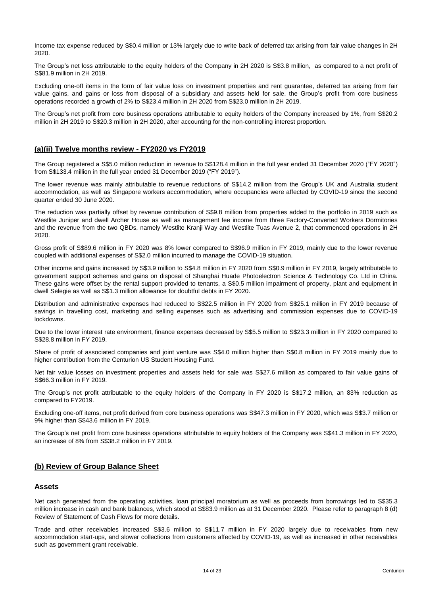Income tax expense reduced by S\$0.4 million or 13% largely due to write back of deferred tax arising from fair value changes in 2H 2020.

The Group's net loss attributable to the equity holders of the Company in 2H 2020 is S\$3.8 million, as compared to a net profit of S\$81.9 million in 2H 2019.

Excluding one-off items in the form of fair value loss on investment properties and rent guarantee, deferred tax arising from fair value gains, and gains or loss from disposal of a subsidiary and assets held for sale, the Group's profit from core business operations recorded a growth of 2% to S\$23.4 million in 2H 2020 from S\$23.0 million in 2H 2019.

The Group's net profit from core business operations attributable to equity holders of the Company increased by 1%, from S\$20.2 million in 2H 2019 to S\$20.3 million in 2H 2020, after accounting for the non-controlling interest proportion.

## **(a)(ii) Twelve months review - FY2020 vs FY2019**

The Group registered a S\$5.0 million reduction in revenue to S\$128.4 million in the full year ended 31 December 2020 ("FY 2020") from S\$133.4 million in the full year ended 31 December 2019 ("FY 2019").

The lower revenue was mainly attributable to revenue reductions of S\$14.2 million from the Group's UK and Australia student accommodation, as well as Singapore workers accommodation, where occupancies were affected by COVID-19 since the second quarter ended 30 June 2020.

The reduction was partially offset by revenue contribution of S\$9.8 million from properties added to the portfolio in 2019 such as Westlite Juniper and dwell Archer House as well as management fee income from three Factory-Converted Workers Dormitories and the revenue from the two QBDs, namely Westlite Kranji Way and Westlite Tuas Avenue 2, that commenced operations in 2H 2020.

Gross profit of S\$89.6 million in FY 2020 was 8% lower compared to S\$96.9 million in FY 2019, mainly due to the lower revenue coupled with additional expenses of S\$2.0 million incurred to manage the COVID-19 situation.

Other income and gains increased by S\$3.9 million to S\$4.8 million in FY 2020 from S\$0.9 million in FY 2019, largely attributable to government support schemes and gains on disposal of Shanghai Huade Photoelectron Science & Technology Co. Ltd in China. These gains were offset by the rental support provided to tenants, a S\$0.5 million impairment of property, plant and equipment in dwell Selegie as well as S\$1.3 million allowance for doubtful debts in FY 2020.

Distribution and administrative expenses had reduced to S\$22.5 million in FY 2020 from S\$25.1 million in FY 2019 because of savings in travelling cost, marketing and selling expenses such as advertising and commission expenses due to COVID-19 lockdowns.

Due to the lower interest rate environment, finance expenses decreased by S\$5.5 million to S\$23.3 million in FY 2020 compared to S\$28.8 million in FY 2019.

Share of profit of associated companies and joint venture was S\$4.0 million higher than S\$0.8 million in FY 2019 mainly due to higher contribution from the Centurion US Student Housing Fund.

Net fair value losses on investment properties and assets held for sale was S\$27.6 million as compared to fair value gains of S\$66.3 million in FY 2019.

The Group's net profit attributable to the equity holders of the Company in FY 2020 is S\$17.2 million, an 83% reduction as compared to FY2019.

Excluding one-off items, net profit derived from core business operations was S\$47.3 million in FY 2020, which was S\$3.7 million or 9% higher than S\$43.6 million in FY 2019.

The Group's net profit from core business operations attributable to equity holders of the Company was S\$41.3 million in FY 2020, an increase of 8% from S\$38.2 million in FY 2019.

## **(b) Review of Group Balance Sheet**

## **Assets**

Net cash generated from the operating activities, loan principal moratorium as well as proceeds from borrowings led to S\$35.3 million increase in cash and bank balances, which stood at S\$83.9 million as at 31 December 2020. Please refer to paragraph 8 (d) Review of Statement of Cash Flows for more details.

Trade and other receivables increased S\$3.6 million to S\$11.7 million in FY 2020 largely due to receivables from new accommodation start-ups, and slower collections from customers affected by COVID-19, as well as increased in other receivables such as government grant receivable.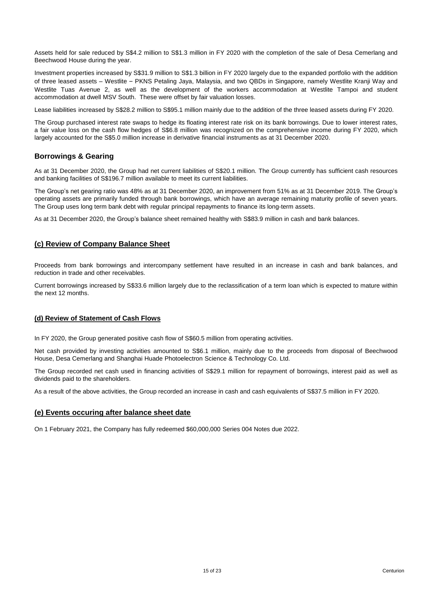Assets held for sale reduced by S\$4.2 million to S\$1.3 million in FY 2020 with the completion of the sale of Desa Cemerlang and Beechwood House during the year.

Investment properties increased by S\$31.9 million to S\$1.3 billion in FY 2020 largely due to the expanded portfolio with the addition of three leased assets – Westlite – PKNS Petaling Jaya, Malaysia, and two QBDs in Singapore, namely Westlite Kranji Way and Westlite Tuas Avenue 2, as well as the development of the workers accommodation at Westlite Tampoi and student accommodation at dwell MSV South. These were offset by fair valuation losses.

Lease liabilities increased by S\$28.2 million to S\$95.1 million mainly due to the addition of the three leased assets during FY 2020.

The Group purchased interest rate swaps to hedge its floating interest rate risk on its bank borrowings. Due to lower interest rates, a fair value loss on the cash flow hedges of S\$6.8 million was recognized on the comprehensive income during FY 2020, which largely accounted for the S\$5.0 million increase in derivative financial instruments as at 31 December 2020.

## **Borrowings & Gearing**

As at 31 December 2020, the Group had net current liabilities of S\$20.1 million. The Group currently has sufficient cash resources and banking facilities of S\$196.7 million available to meet its current liabilities.

The Group's net gearing ratio was 48% as at 31 December 2020, an improvement from 51% as at 31 December 2019. The Group's operating assets are primarily funded through bank borrowings, which have an average remaining maturity profile of seven years. The Group uses long term bank debt with regular principal repayments to finance its long-term assets.

As at 31 December 2020, the Group's balance sheet remained healthy with S\$83.9 million in cash and bank balances.

## **(c) Review of Company Balance Sheet**

Proceeds from bank borrowings and intercompany settlement have resulted in an increase in cash and bank balances, and reduction in trade and other receivables.

Current borrowings increased by S\$33.6 million largely due to the reclassification of a term loan which is expected to mature within the next 12 months.

## **(d) Review of Statement of Cash Flows**

In FY 2020, the Group generated positive cash flow of S\$60.5 million from operating activities.

Net cash provided by investing activities amounted to S\$6.1 million, mainly due to the proceeds from disposal of Beechwood House, Desa Cemerlang and Shanghai Huade Photoelectron Science & Technology Co. Ltd.

The Group recorded net cash used in financing activities of S\$29.1 million for repayment of borrowings, interest paid as well as dividends paid to the shareholders.

As a result of the above activities, the Group recorded an increase in cash and cash equivalents of S\$37.5 million in FY 2020.

## **(e) Events occuring after balance sheet date**

On 1 February 2021, the Company has fully redeemed \$60,000,000 Series 004 Notes due 2022.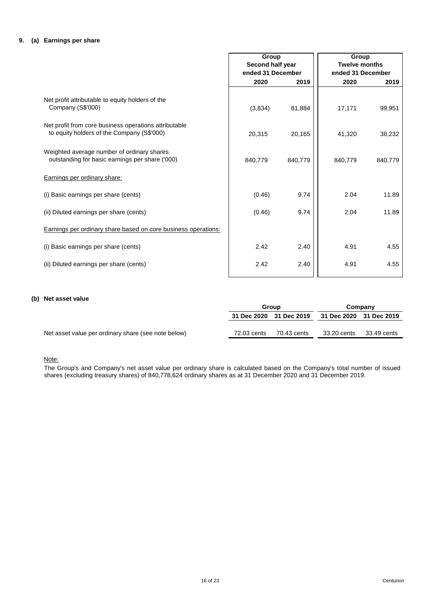## **9. (a) Earnings per share**

|                                                                                                     | Group             |         | Group             |                      |
|-----------------------------------------------------------------------------------------------------|-------------------|---------|-------------------|----------------------|
|                                                                                                     | Second half year  |         |                   | <b>Twelve months</b> |
|                                                                                                     | ended 31 December |         | ended 31 December |                      |
|                                                                                                     | 2020              | 2019    | 2020              | 2019                 |
|                                                                                                     |                   |         |                   |                      |
| Net profit attributable to equity holders of the<br>Company (S\$'000)                               | (3,834)           | 81,884  | 17,171            | 99,951               |
|                                                                                                     |                   |         |                   |                      |
| Net profit from core business operations attributable<br>to equity holders of the Company (S\$'000) | 20,315            | 20,165  | 41,320            | 38,232               |
| Weighted average number of ordinary shares<br>outstanding for basic earnings per share ('000)       | 840,779           | 840,779 | 840,779           | 840,779              |
|                                                                                                     |                   |         |                   |                      |
| Earnings per ordinary share:                                                                        |                   |         |                   |                      |
| (i) Basic earnings per share (cents)                                                                | (0.46)            | 9.74    | 2.04              | 11.89                |
| (ii) Diluted earnings per share (cents)                                                             | (0.46)            | 9.74    | 2.04              | 11.89                |
| <b>Earnings per ordinary share based on core business operations:</b>                               |                   |         |                   |                      |
| (i) Basic earnings per share (cents)                                                                | 2.42              | 2.40    | 4.91              | 4.55                 |
| (ii) Diluted earnings per share (cents)                                                             | 2.42              | 2.40    | 4.91              | 4.55                 |
|                                                                                                     |                   |         |                   |                      |

## **(b) Net asset value**

|                                                     |             | Group                   |                         | Company     |  |
|-----------------------------------------------------|-------------|-------------------------|-------------------------|-------------|--|
|                                                     |             | 31 Dec 2020 31 Dec 2019 | 31 Dec 2020 31 Dec 2019 |             |  |
|                                                     |             |                         |                         |             |  |
| Net asset value per ordinary share (see note below) | 72.03 cents | 70.43 cents             | 33.20 cents             | 33.49 cents |  |

## Note:

The Group's and Company's net asset value per ordinary share is calculated based on the Company's total number of issued shares (excluding treasury shares) of 840,778,624 ordinary shares as at 31 December 2020 and 31 December 2019.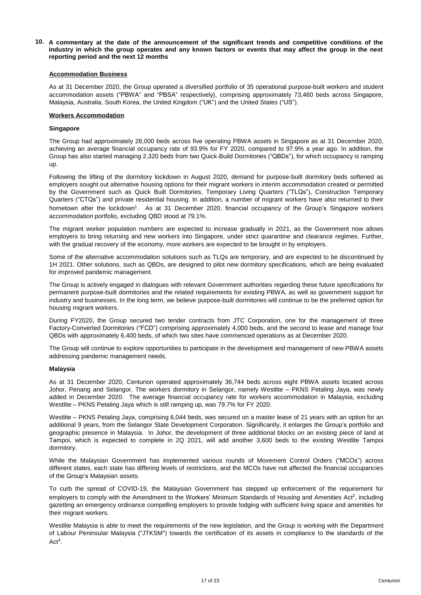10. A commentary at the date of the announcement of the significant trends and competitive conditions of the industry in which the group operates and any known factors or events that may affect the group in the next **reporting period and the next 12 months**

#### **Accommodation Business**

As at 31 December 2020, the Group operated a diversified portfolio of 35 operational purpose-built workers and student accommodation assets ("PBWA" and "PBSA" respectively), comprising approximately 73,460 beds across Singapore, Malaysia, Australia, South Korea, the United Kingdom ("UK") and the United States ("US").

#### **Workers Accommodation**

#### **Singapore**

The Group had approximately 28,000 beds across five operating PBWA assets in Singapore as at 31 December 2020, achieving an average financial occupancy rate of 93.9% for FY 2020, compared to 97.9% a year ago. In addition, the Group has also started managing 2,320 beds from two Quick-Build Dormitories ("QBDs"), for which occupancy is ramping up.

Following the lifting of the dormitory lockdown in August 2020, demand for purpose-built dormitory beds softened as employers sought out alternative housing options for their migrant workers in interim accommodation created or permitted by the Government such as Quick Built Dormitories, Temporary Living Quarters ("TLQs"), Construction Temporary Quarters ("CTQs") and private residential housing. In addition, a number of migrant workers have also returned to their hometown after the lockdown<sup>1</sup>. As at 31 December 2020, financial occupancy of the Group's Singapore workers accommodation portfolio, excluding QBD stood at 79.1%.

The migrant worker population numbers are expected to increase gradually in 2021, as the Government now allows employers to bring returning and new workers into Singapore, under strict quarantine and clearance regimes. Further, with the gradual recovery of the economy, more workers are expected to be brought in by employers.

Some of the alternative accommodation solutions such as TLQs are temporary, and are expected to be discontinued by 1H 2021. Other solutions, such as QBDs, are designed to pilot new dormitory specifications, which are being evaluated for improved pandemic management.

The Group is actively engaged in dialogues with relevant Government authorities regarding these future specifications for permanent purpose-built dormitories and the related requirements for existing PBWA, as well as government support for industry and businesses. In the long term, we believe purpose-built dormitories will continue to be the preferred option for housing migrant workers.

During FY2020, the Group secured two tender contracts from JTC Corporation, one for the management of three Factory-Converted Dormitories ("FCD") comprising approximately 4,000 beds, and the second to lease and manage four QBDs with approximately 6,400 beds, of which two sites have commenced operations as at December 2020.

The Group will continue to explore opportunities to participate in the development and management of new PBWA assets addressing pandemic management needs.

#### **Malaysia**

As at 31 December 2020, Centurion operated approximately 36,744 beds across eight PBWA assets located across Johor, Penang and Selangor. The workers dormitory in Selangor, namely Westlite – PKNS Petaling Jaya, was newly added in December 2020. The average financial occupancy rate for workers accommodation in Malaysia, excluding Westlite – PKNS Petaling Jaya which is still ramping up, was 79.7% for FY 2020.

Westlite – PKNS Petaling Jaya, comprising 6,044 beds, was secured on a master lease of 21 years with an option for an additional 9 years, from the Selangor State Development Corporation. Significantly, it enlarges the Group's portfolio and geographic presence in Malaysia. In Johor, the development of three additional blocks on an existing piece of land at Tampoi, which is expected to complete in 2Q 2021, will add another 3,600 beds to the existing Westlite Tampoi dormitory.

While the Malaysian Government has implemented various rounds of Movement Control Orders ("MCOs") across different states, each state has differing levels of restrictions, and the MCOs have not affected the financial occupancies of the Group's Malaysian assets.

To curb the spread of COVID-19, the Malaysian Government has stepped up enforcement of the requirement for employers to comply with the Amendment to the Workers' Minimum Standards of Housing and Amenities Act<sup>2</sup>, including gazetting an emergency ordinance compelling employers to provide lodging with sufficient living space and amenities for their migrant workers.

Westlite Malaysia is able to meet the requirements of the new legislation, and the Group is working with the Department of Labour Peninsular Malaysia ("JTKSM") towards the certification of its assets in compliance to the standards of the  $Act<sup>3</sup>$ .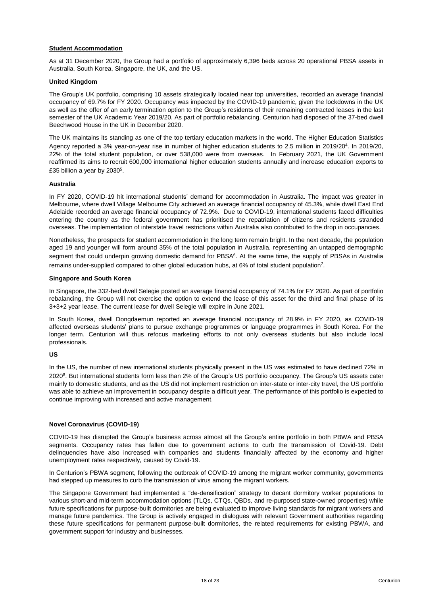## **Student Accommodation**

As at 31 December 2020, the Group had a portfolio of approximately 6,396 beds across 20 operational PBSA assets in Australia, South Korea, Singapore, the UK, and the US.

## **United Kingdom**

The Group's UK portfolio, comprising 10 assets strategically located near top universities, recorded an average financial occupancy of 69.7% for FY 2020. Occupancy was impacted by the COVID-19 pandemic, given the lockdowns in the UK as well as the offer of an early termination option to the Group's residents of their remaining contracted leases in the last semester of the UK Academic Year 2019/20. As part of portfolio rebalancing, Centurion had disposed of the 37-bed dwell Beechwood House in the UK in December 2020.

The UK maintains its standing as one of the top tertiary education markets in the world. The Higher Education Statistics Agency reported a 3% year-on-year rise in number of higher education students to 2.5 million in 2019/20<sup>4</sup>. In 2019/20, 22% of the total student population, or over 538,000 were from overseas. In February 2021, the UK Government reaffirmed its aims to recruit 600,000 international higher education students annually and increase education exports to £35 billion a year by 2030<sup>5</sup>.

#### **Australia**

In FY 2020, COVID-19 hit international students' demand for accommodation in Australia. The impact was greater in Melbourne, where dwell Village Melbourne City achieved an average financial occupancy of 45.3%, while dwell East End Adelaide recorded an average financial occupancy of 72.9%. Due to COVID-19, international students faced difficulties entering the country as the federal government has prioritised the repatriation of citizens and residents stranded overseas. The implementation of interstate travel restrictions within Australia also contributed to the drop in occupancies.

Nonetheless, the prospects for student accommodation in the long term remain bright. In the next decade, the population aged 19 and younger will form around 35% of the total population in Australia, representing an untapped demographic segment that could underpin growing domestic demand for PBSA<sup>6</sup>. At the same time, the supply of PBSAs in Australia remains under-supplied compared to other global education hubs, at 6% of total student population<sup>7</sup>.

#### **Singapore and South Korea**

In Singapore, the 332-bed dwell Selegie posted an average financial occupancy of 74.1% for FY 2020. As part of portfolio rebalancing, the Group will not exercise the option to extend the lease of this asset for the third and final phase of its 3+3+2 year lease. The current lease for dwell Selegie will expire in June 2021.

In South Korea, dwell Dongdaemun reported an average financial occupancy of 28.9% in FY 2020, as COVID-19 affected overseas students' plans to pursue exchange programmes or language programmes in South Korea. For the longer term, Centurion will thus refocus marketing efforts to not only overseas students but also include local professionals.

## **US**

In the US, the number of new international students physically present in the US was estimated to have declined 72% in 2020<sup>8</sup>. But international students form less than 2% of the Group's US portfolio occupancy. The Group's US assets cater mainly to domestic students, and as the US did not implement restriction on inter-state or inter-city travel, the US portfolio was able to achieve an improvement in occupancy despite a difficult year. The performance of this portfolio is expected to continue improving with increased and active management.

## **Novel Coronavirus (COVID-19)**

COVID-19 has disrupted the Group's business across almost all the Group's entire portfolio in both PBWA and PBSA segments. Occupancy rates has fallen due to government actions to curb the transmission of Covid-19. Debt delinquencies have also increased with companies and students financially affected by the economy and higher unemployment rates respectively, caused by Covid-19.

In Centurion's PBWA segment, following the outbreak of COVID-19 among the migrant worker community, governments had stepped up measures to curb the transmission of virus among the migrant workers.

The Singapore Government had implemented a "de-densification" strategy to decant dormitory worker populations to various short-and mid-term accommodation options (TLQs, CTQs, QBDs, and re-purposed state-owned properties) while future specifications for purpose-built dormitories are being evaluated to improve living standards for migrant workers and manage future pandemics. The Group is actively engaged in dialogues with relevant Government authorities regarding these future specifications for permanent purpose-built dormitories, the related requirements for existing PBWA, and government support for industry and businesses.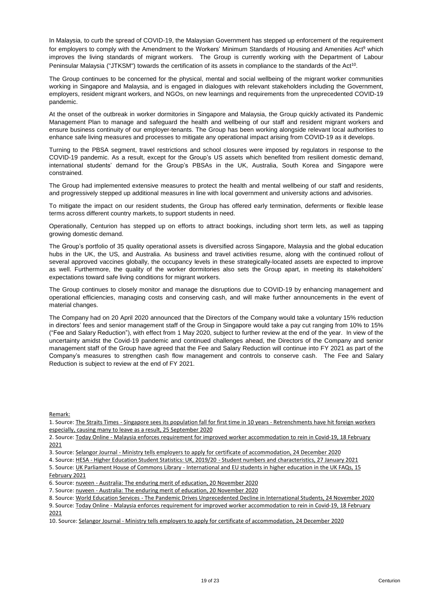In Malaysia, to curb the spread of COVID-19, the Malaysian Government has stepped up enforcement of the requirement for employers to comply with the Amendment to the Workers' Minimum Standards of Housing and Amenities Act<sup>9</sup> which improves the living standards of migrant workers. The Group is currently working with the Department of Labour Peninsular Malaysia ("JTKSM") towards the certification of its assets in compliance to the standards of the Act<sup>10</sup>.

The Group continues to be concerned for the physical, mental and social wellbeing of the migrant worker communities working in Singapore and Malaysia, and is engaged in dialogues with relevant stakeholders including the Government, employers, resident migrant workers, and NGOs, on new learnings and requirements from the unprecedented COVID-19 pandemic.

At the onset of the outbreak in worker dormitories in Singapore and Malaysia, the Group quickly activated its Pandemic Management Plan to manage and safeguard the health and wellbeing of our staff and resident migrant workers and ensure business continuity of our employer-tenants. The Group has been working alongside relevant local authorities to enhance safe living measures and processes to mitigate any operational impact arising from COVID-19 as it develops.

Turning to the PBSA segment, travel restrictions and school closures were imposed by regulators in response to the COVID-19 pandemic. As a result, except for the Group's US assets which benefited from resilient domestic demand, international students' demand for the Group's PBSAs in the UK, Australia, South Korea and Singapore were constrained.

The Group had implemented extensive measures to protect the health and mental wellbeing of our staff and residents, and progressively stepped up additional measures in line with local government and university actions and advisories.

To mitigate the impact on our resident students, the Group has offered early termination, deferments or flexible lease terms across different country markets, to support students in need.

Operationally, Centurion has stepped up on efforts to attract bookings, including short term lets, as well as tapping growing domestic demand.

The Group's portfolio of 35 quality operational assets is diversified across Singapore, Malaysia and the global education hubs in the UK, the US, and Australia. As business and travel activities resume, along with the continued rollout of several approved vaccines globally, the occupancy levels in these strategically-located assets are expected to improve as well. Furthermore, the quality of the worker dormitories also sets the Group apart, in meeting its stakeholders' expectations toward safe living conditions for migrant workers.

The Group continues to closely monitor and manage the disruptions due to COVID-19 by enhancing management and operational efficiencies, managing costs and conserving cash, and will make further announcements in the event of material changes.

The Company had on 20 April 2020 announced that the Directors of the Company would take a voluntary 15% reduction in directors' fees and senior management staff of the Group in Singapore would take a pay cut ranging from 10% to 15% ("Fee and Salary Reduction"), with effect from 1 May 2020, subject to further review at the end of the year. In view of the uncertainty amidst the Covid-19 pandemic and continued challenges ahead, the Directors of the Company and senior management staff of the Group have agreed that the Fee and Salary Reduction will continue into FY 2021 as part of the Company's measures to strengthen cash flow management and controls to conserve cash. The Fee and Salary Reduction is subject to review at the end of FY 2021.

Remark:

1. Source: The Straits Times - Singapore sees its population fall for first time in 10 years - Retrenchments have hit foreign workers especially, causing many to leave as a result, 25 September 2020

<sup>2.</sup> Source: Today Online - Malaysia enforces requirement for improved worker accommodation to rein in Covid-19, 18 February 2021

<sup>3.</sup> Source: Selangor Journal - Ministry tells employers to apply for certificate of accommodation, 24 December 2020

<sup>4.</sup> Source: HESA - Higher Education Student Statistics: UK, 2019/20 - Student numbers and characteristics, 27 January 2021 5. Source: UK Parliament House of Commons Library - International and EU students in higher education in the UK FAQs, 15

February 2021

<sup>6.</sup> Source: nuveen - Australia: The enduring merit of education, 20 November 2020

<sup>7.</sup> Source: nuveen - Australia: The enduring merit of education, 20 November 2020

<sup>8.</sup> Source: World Education Services - The Pandemic Drives Unprecedented Decline in International Students, 24 November 2020

<sup>9.</sup> Source: Today Online - Malaysia enforces requirement for improved worker accommodation to rein in Covid-19, 18 February 2021

<sup>10.</sup> Source: Selangor Journal - Ministry tells employers to apply for certificate of accommodation, 24 December 2020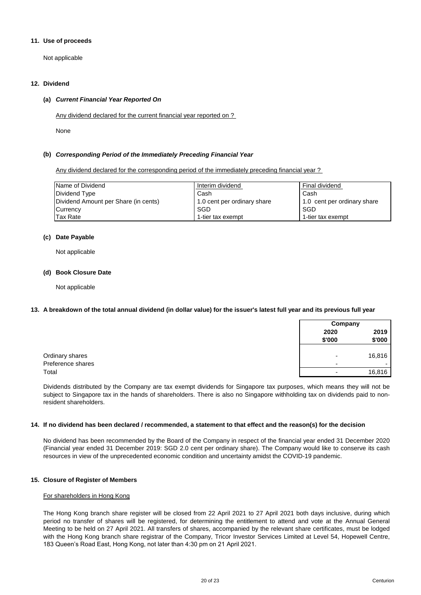## **11. Use of proceeds**

Not applicable

## **12. Dividend**

## **(a)** *Current Financial Year Reported On*

Any dividend declared for the current financial year reported on ?

None

## **(b)** *Corresponding Period of the Immediately Preceding Financial Year*

Any dividend declared for the corresponding period of the immediately preceding financial year ?

| Name of Dividend                     | Interim dividend            | Final dividend              |
|--------------------------------------|-----------------------------|-----------------------------|
| Dividend Type                        | Cash                        | Cash                        |
| Dividend Amount per Share (in cents) | 1.0 cent per ordinary share | 1.0 cent per ordinary share |
| Currency                             | SGD                         | SGD                         |
| Tax Rate                             | 1-tier tax exempt           | 1-tier tax exempt           |

## **(c) Date Payable**

Not applicable

## **(d) Book Closure Date**

Not applicable

## **13. A breakdown of the total annual dividend (in dollar value) for the issuer's latest full year and its previous full year**

|                                      | Company        |                |
|--------------------------------------|----------------|----------------|
|                                      | 2020<br>\$'000 | 2019<br>\$'000 |
| Ordinary shares<br>Preference shares | -              | 16,816<br>. .  |
| Total                                | -              | 16,816         |

Dividends distributed by the Company are tax exempt dividends for Singapore tax purposes, which means they will not be subject to Singapore tax in the hands of shareholders. There is also no Singapore withholding tax on dividends paid to nonresident shareholders.

## **14. If no dividend has been declared / recommended, a statement to that effect and the reason(s) for the decision**

No dividend has been recommended by the Board of the Company in respect of the financial year ended 31 December 2020 (Financial year ended 31 December 2019: SGD 2.0 cent per ordinary share). The Company would like to conserve its cash resources in view of the unprecedented economic condition and uncertainty amidst the COVID-19 pandemic.

## **15. Closure of Register of Members**

## For shareholders in Hong Kong

The Hong Kong branch share register will be closed from 22 April 2021 to 27 April 2021 both days inclusive, during which period no transfer of shares will be registered, for determining the entitlement to attend and vote at the Annual General Meeting to be held on 27 April 2021. All transfers of shares, accompanied by the relevant share certificates, must be lodged with the Hong Kong branch share registrar of the Company, Tricor Investor Services Limited at Level 54, Hopewell Centre, 183 Queen's Road East, Hong Kong, not later than 4:30 pm on 21 April 2021.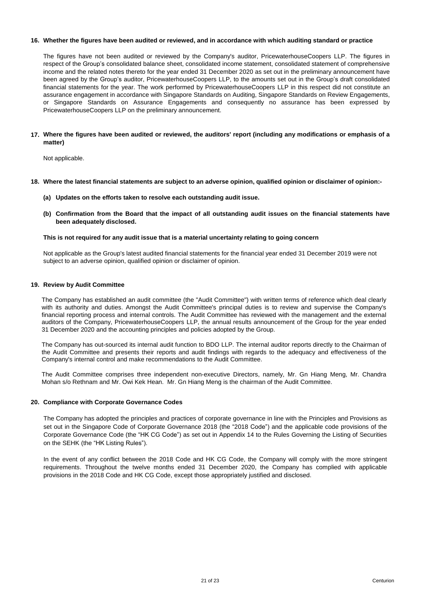## **16. Whether the figures have been audited or reviewed, and in accordance with which auditing standard or practice**

The figures have not been audited or reviewed by the Company's auditor, PricewaterhouseCoopers LLP. The figures in respect of the Group's consolidated balance sheet, consolidated income statement, consolidated statement of comprehensive income and the related notes thereto for the year ended 31 December 2020 as set out in the preliminary announcement have been agreed by the Group's auditor, PricewaterhouseCoopers LLP, to the amounts set out in the Group's draft consolidated financial statements for the year. The work performed by PricewaterhouseCoopers LLP in this respect did not constitute an assurance engagement in accordance with Singapore Standards on Auditing, Singapore Standards on Review Engagements, or Singapore Standards on Assurance Engagements and consequently no assurance has been expressed by PricewaterhouseCoopers LLP on the preliminary announcement.

#### 17. Where the figures have been audited or reviewed, the auditors' report (including any modifications or emphasis of a **matter)**

Not applicable.

- **18. Where the latest financial statements are subject to an adverse opinion, qualified opinion or disclaimer of opinion:-**
	- **(a) Updates on the efforts taken to resolve each outstanding audit issue.**
	- (b) Confirmation from the Board that the impact of all outstanding audit issues on the financial statements have **been adequately disclosed.**

#### **This is not required for any audit issue that is a material uncertainty relating to going concern**

Not applicable as the Group's latest audited financial statements for the financial year ended 31 December 2019 were not subject to an adverse opinion, qualified opinion or disclaimer of opinion.

#### **19. Review by Audit Committee**

The Company has established an audit committee (the "Audit Committee") with written terms of reference which deal clearly with its authority and duties. Amongst the Audit Committee's principal duties is to review and supervise the Company's financial reporting process and internal controls. The Audit Committee has reviewed with the management and the external auditors of the Company, PricewaterhouseCoopers LLP, the annual results announcement of the Group for the year ended 31 December 2020 and the accounting principles and policies adopted by the Group.

The Company has out-sourced its internal audit function to BDO LLP. The internal auditor reports directly to the Chairman of the Audit Committee and presents their reports and audit findings with regards to the adequacy and effectiveness of the Company's internal control and make recommendations to the Audit Committee.

The Audit Committee comprises three independent non-executive Directors, namely, Mr. Gn Hiang Meng, Mr. Chandra Mohan s/o Rethnam and Mr. Owi Kek Hean. Mr. Gn Hiang Meng is the chairman of the Audit Committee.

#### **20. Compliance with Corporate Governance Codes**

The Company has adopted the principles and practices of corporate governance in line with the Principles and Provisions as set out in the Singapore Code of Corporate Governance 2018 (the "2018 Code") and the applicable code provisions of the Corporate Governance Code (the "HK CG Code") as set out in Appendix 14 to the Rules Governing the Listing of Securities on the SEHK (the "HK Listing Rules").

In the event of any conflict between the 2018 Code and HK CG Code, the Company will comply with the more stringent requirements. Throughout the twelve months ended 31 December 2020, the Company has complied with applicable provisions in the 2018 Code and HK CG Code, except those appropriately justified and disclosed.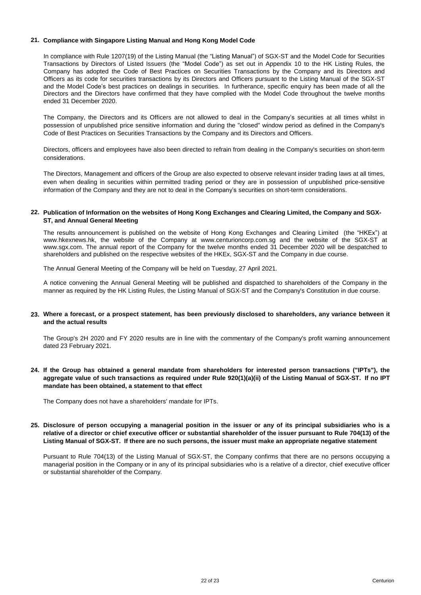## **21. Compliance with Singapore Listing Manual and Hong Kong Model Code**

In compliance with Rule 1207(19) of the Listing Manual (the "Listing Manual") of SGX-ST and the Model Code for Securities Transactions by Directors of Listed Issuers (the "Model Code") as set out in Appendix 10 to the HK Listing Rules, the Company has adopted the Code of Best Practices on Securities Transactions by the Company and its Directors and Officers as its code for securities transactions by its Directors and Officers pursuant to the Listing Manual of the SGX-ST and the Model Code's best practices on dealings in securities. In furtherance, specific enquiry has been made of all the Directors and the Directors have confirmed that they have complied with the Model Code throughout the twelve months ended 31 December 2020.

The Company, the Directors and its Officers are not allowed to deal in the Company's securities at all times whilst in possession of unpublished price sensitive information and during the "closed" window period as defined in the Company's Code of Best Practices on Securities Transactions by the Company and its Directors and Officers.

Directors, officers and employees have also been directed to refrain from dealing in the Company's securities on short-term considerations.

The Directors, Management and officers of the Group are also expected to observe relevant insider trading laws at all times, even when dealing in securities within permitted trading period or they are in possession of unpublished price-sensitive information of the Company and they are not to deal in the Company's securities on short-term considerations.

#### **22. Publication of Information on the websites of Hong Kong Exchanges and Clearing Limited, the Company and SGX-ST, and Annual General Meeting**

The results announcement is published on the website of Hong Kong Exchanges and Clearing Limited (the "HKEx") at www.hkexnews.hk, the website of the Company at www.centurioncorp.com.sg and the website of the SGX-ST at www.sgx.com. The annual report of the Company for the twelve months ended 31 December 2020 will be despatched to shareholders and published on the respective websites of the HKEx, SGX-ST and the Company in due course.

The Annual General Meeting of the Company will be held on Tuesday, 27 April 2021.

A notice convening the Annual General Meeting will be published and dispatched to shareholders of the Company in the manner as required by the HK Listing Rules, the Listing Manual of SGX-ST and the Company's Constitution in due course.

## 23. Where a forecast, or a prospect statement, has been previously disclosed to shareholders, any variance between it **and the actual results**

The Group's 2H 2020 and FY 2020 results are in line with the commentary of the Company's profit warning announcement dated 23 February 2021.

24. If the Group has obtained a general mandate from shareholders for interested person transactions ("IPTs"), the aggregate value of such transactions as required under Rule 920(1)(a)(ii) of the Listing Manual of SGX-ST. If no IPT **mandate has been obtained, a statement to that effect**

The Company does not have a shareholders' mandate for IPTs.

25. Disclosure of person occupying a managerial position in the issuer or any of its principal subsidiaries who is a relative of a director or chief executive officer or substantial shareholder of the issuer pursuant to Rule 704(13) of the **Listing Manual of SGX-ST. If there are no such persons, the issuer must make an appropriate negative statement**

Pursuant to Rule 704(13) of the Listing Manual of SGX-ST, the Company confirms that there are no persons occupying a managerial position in the Company or in any of its principal subsidiaries who is a relative of a director, chief executive officer or substantial shareholder of the Company.